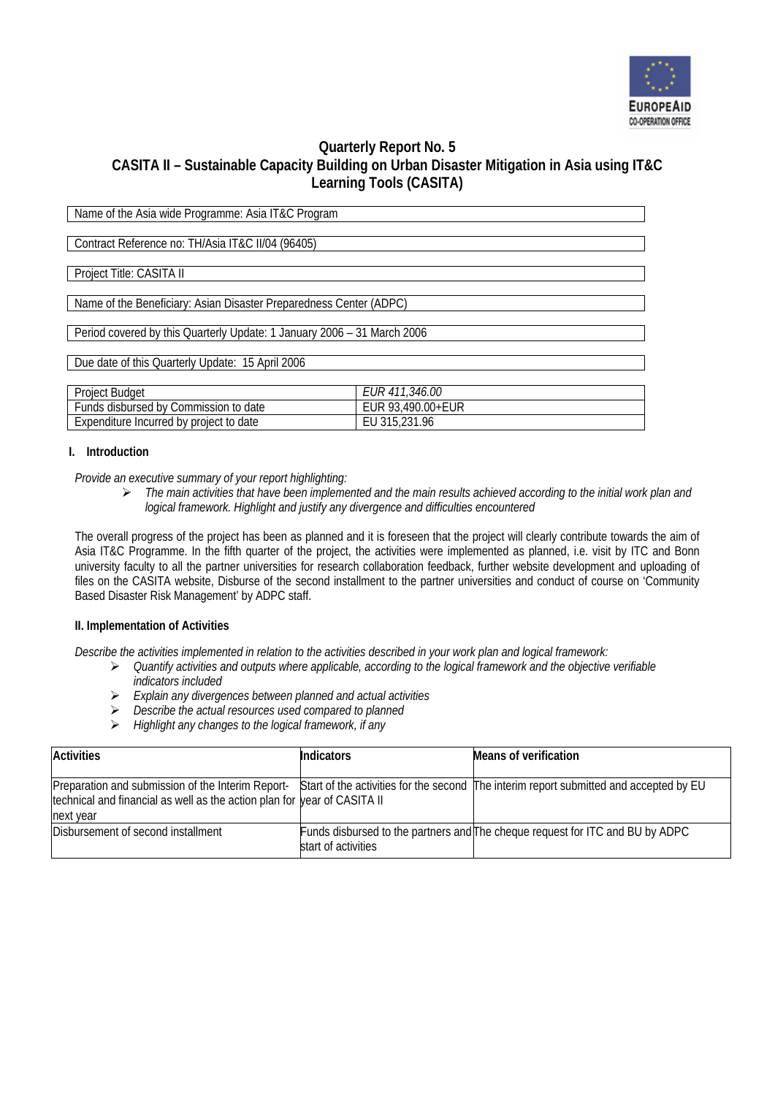

# **Quarterly Report No. 5 CASITA II – Sustainable Capacity Building on Urban Disaster Mitigation in Asia using IT&C Learning Tools (CASITA)**

Name of the Asia wide Programme: Asia IT&C Program

Contract Reference no: TH/Asia IT&C II/04 (96405)

Project Title: CASITA II

Name of the Beneficiary: Asian Disaster Preparedness Center (ADPC)

Period covered by this Quarterly Update: 1 January 2006 – 31 March 2006

Due date of this Quarterly Update: 15 April 2006

| <b>Project Budget</b>                   | <i>EUR 411,346.00</i> |
|-----------------------------------------|-----------------------|
| Funds disbursed by Commission to date   | EUR 93.490.00+EUR     |
| Expenditure Incurred by project to date | EU 315,231.96         |

## **I. Introduction**

*Provide an executive summary of your report highlighting:* 

¾ *The main activities that have been implemented and the main results achieved according to the initial work plan and logical framework. Highlight and justify any divergence and difficulties encountered* 

The overall progress of the project has been as planned and it is foreseen that the project will clearly contribute towards the aim of Asia IT&C Programme. In the fifth quarter of the project, the activities were implemented as planned, i.e. visit by ITC and Bonn university faculty to all the partner universities for research collaboration feedback, further website development and uploading of files on the CASITA website, Disburse of the second installment to the partner universities and conduct of course on 'Community Based Disaster Risk Management' by ADPC staff.

### **II. Implementation of Activities**

*Describe the activities implemented in relation to the activities described in your work plan and logical framework:* 

- ¾ *Quantify activities and outputs where applicable, according to the logical framework and the objective verifiable indicators included*
- ¾ *Explain any divergences between planned and actual activities*
- ¾ *Describe the actual resources used compared to planned*
- ¾ *Highlight any changes to the logical framework, if any*

| <b>Activities</b>                                                                                                                                                                                                                | <b>Indicators</b>   | Means of verification                                                         |
|----------------------------------------------------------------------------------------------------------------------------------------------------------------------------------------------------------------------------------|---------------------|-------------------------------------------------------------------------------|
| Preparation and submission of the Interim Report-Start of the activities for the second The interim report submitted and accepted by EU<br>technical and financial as well as the action plan for year of CASITA II<br>next year |                     |                                                                               |
| Disbursement of second installment                                                                                                                                                                                               | start of activities | Funds disbursed to the partners and The cheque request for ITC and BU by ADPC |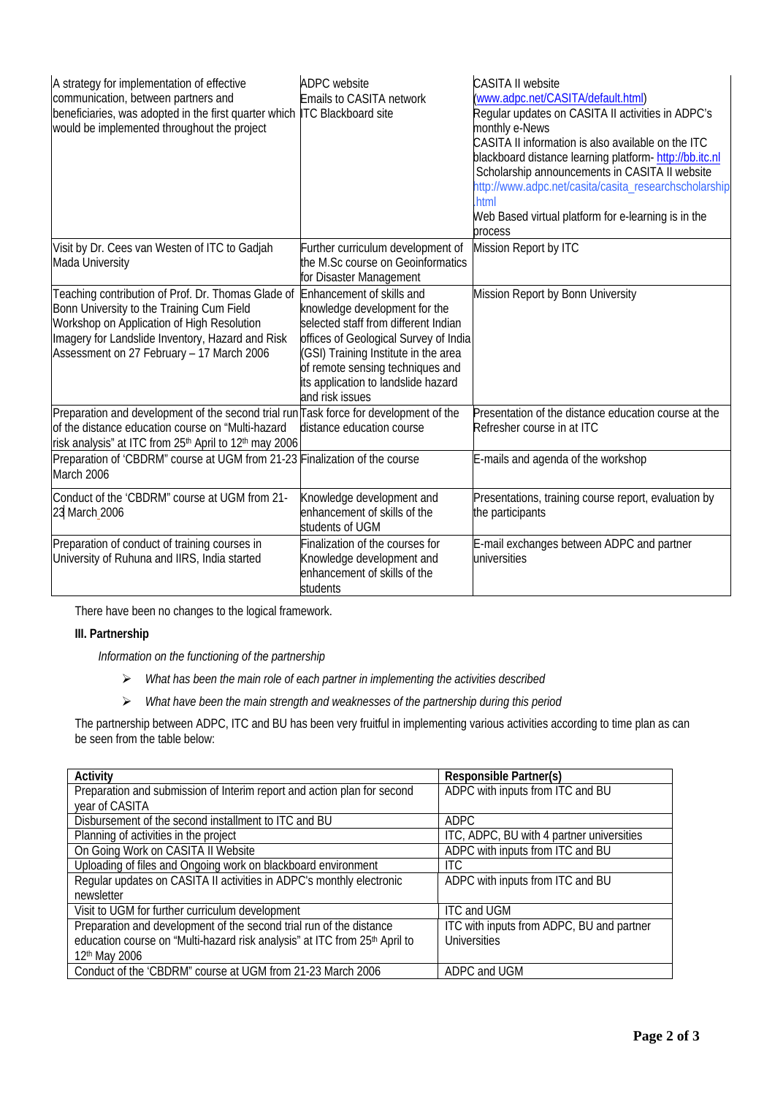| A strategy for implementation of effective<br>communication, between partners and<br>beneficiaries, was adopted in the first quarter which ITC Blackboard site<br>would be implemented throughout the project                                                            | <b>ADPC</b> website<br>Emails to CASITA network                                                                                                                                                                                                      | <b>CASITA II website</b><br>(www.adpc.net/CASITA/default.html)<br>Regular updates on CASITA II activities in ADPC's<br>monthly e-News<br>CASITA II information is also available on the ITC<br>blackboard distance learning platform-http://bb.itc.nl<br>Scholarship announcements in CASITA II website<br>http://www.adpc.net/casita/casita_researchscholarship<br>.html<br>Web Based virtual platform for e-learning is in the<br>process |
|--------------------------------------------------------------------------------------------------------------------------------------------------------------------------------------------------------------------------------------------------------------------------|------------------------------------------------------------------------------------------------------------------------------------------------------------------------------------------------------------------------------------------------------|---------------------------------------------------------------------------------------------------------------------------------------------------------------------------------------------------------------------------------------------------------------------------------------------------------------------------------------------------------------------------------------------------------------------------------------------|
| Visit by Dr. Cees van Westen of ITC to Gadjah<br>Mada University                                                                                                                                                                                                         | Further curriculum development of<br>the M.Sc course on Geoinformatics<br>for Disaster Management                                                                                                                                                    | Mission Report by ITC                                                                                                                                                                                                                                                                                                                                                                                                                       |
| Teaching contribution of Prof. Dr. Thomas Glade of Enhancement of skills and<br>Bonn University to the Training Cum Field<br>Workshop on Application of High Resolution<br>Imagery for Landslide Inventory, Hazard and Risk<br>Assessment on 27 February - 17 March 2006 | knowledge development for the<br>selected staff from different Indian<br>offices of Geological Survey of India<br>(GSI) Training Institute in the area<br>of remote sensing techniques and<br>its application to landslide hazard<br>and risk issues | Mission Report by Bonn University                                                                                                                                                                                                                                                                                                                                                                                                           |
| Preparation and development of the second trial run Task force for development of the<br>of the distance education course on "Multi-hazard<br>risk analysis" at ITC from 25 <sup>th</sup> April to 12 <sup>th</sup> may 2006                                             | distance education course                                                                                                                                                                                                                            | Presentation of the distance education course at the<br>Refresher course in at ITC                                                                                                                                                                                                                                                                                                                                                          |
| Preparation of 'CBDRM" course at UGM from 21-23 Finalization of the course<br>March 2006                                                                                                                                                                                 |                                                                                                                                                                                                                                                      | E-mails and agenda of the workshop                                                                                                                                                                                                                                                                                                                                                                                                          |
| Conduct of the 'CBDRM" course at UGM from 21-<br>23 March 2006                                                                                                                                                                                                           | Knowledge development and<br>enhancement of skills of the<br>students of UGM                                                                                                                                                                         | Presentations, training course report, evaluation by<br>the participants                                                                                                                                                                                                                                                                                                                                                                    |
| Preparation of conduct of training courses in<br>University of Ruhuna and IIRS, India started                                                                                                                                                                            | Finalization of the courses for<br>Knowledge development and<br>enhancement of skills of the<br>students                                                                                                                                             | E-mail exchanges between ADPC and partner<br>universities                                                                                                                                                                                                                                                                                                                                                                                   |

There have been no changes to the logical framework.

## **III. Partnership**

*Information on the functioning of the partnership* 

- ¾ *What has been the main role of each partner in implementing the activities described*
- ¾ *What have been the main strength and weaknesses of the partnership during this period*

The partnership between ADPC, ITC and BU has been very fruitful in implementing various activities according to time plan as can be seen from the table below:

| Activity                                                                   | Responsible Partner(s)                    |
|----------------------------------------------------------------------------|-------------------------------------------|
| Preparation and submission of Interim report and action plan for second    | ADPC with inputs from ITC and BU          |
| year of CASITA                                                             |                                           |
| Disbursement of the second installment to ITC and BU                       | <b>ADPC</b>                               |
| Planning of activities in the project                                      | ITC, ADPC, BU with 4 partner universities |
| On Going Work on CASITA II Website                                         | ADPC with inputs from ITC and BU          |
| Uploading of files and Ongoing work on blackboard environment              | ITC.                                      |
| Regular updates on CASITA II activities in ADPC's monthly electronic       | ADPC with inputs from ITC and BU          |
| newsletter                                                                 |                                           |
| Visit to UGM for further curriculum development                            | <b>ITC and UGM</b>                        |
| Preparation and development of the second trial run of the distance        | ITC with inputs from ADPC, BU and partner |
| education course on "Multi-hazard risk analysis" at ITC from 25th April to | Universities                              |
| 12 <sup>th</sup> May 2006                                                  |                                           |
| Conduct of the 'CBDRM" course at UGM from 21-23 March 2006                 | ADPC and UGM                              |